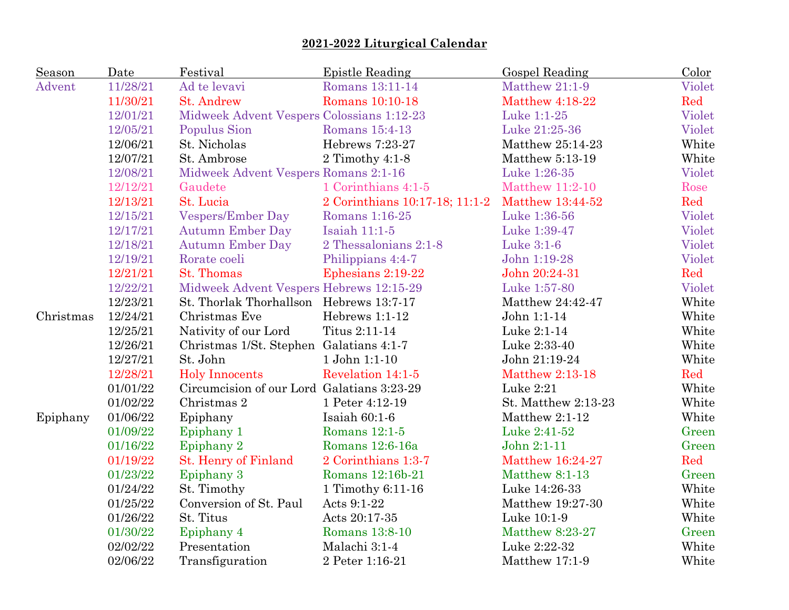| Season    | Date     | Festival                                   | <b>Epistle Reading</b>         | Gospel Reading         | Color  |
|-----------|----------|--------------------------------------------|--------------------------------|------------------------|--------|
| Advent    | 11/28/21 | Ad te levavi                               | Romans 13:11-14                | Matthew 21:1-9         | Violet |
|           | 11/30/21 | <b>St. Andrew</b>                          | Romans 10:10-18                | <b>Matthew 4:18-22</b> | Red    |
|           | 12/01/21 | Midweek Advent Vespers Colossians 1:12-23  |                                | Luke 1:1-25            | Violet |
|           | 12/05/21 | Populus Sion                               | Romans 15:4-13                 | Luke 21:25-36          | Violet |
|           | 12/06/21 | St. Nicholas                               | Hebrews 7:23-27                | Matthew 25:14-23       | White  |
|           | 12/07/21 | St. Ambrose                                | 2 Timothy 4:1-8                | Matthew 5:13-19        | White  |
|           | 12/08/21 | Midweek Advent Vespers Romans 2:1-16       |                                | Luke 1:26-35           | Violet |
|           | 12/12/21 | Gaudete                                    | 1 Corinthians 4:1-5            | <b>Matthew 11:2-10</b> | Rose   |
|           | 12/13/21 | St. Lucia                                  | 2 Corinthians 10:17-18; 11:1-2 | Matthew 13:44-52       | Red    |
|           | 12/15/21 | <b>Vespers/Ember Day</b>                   | Romans 1:16-25                 | Luke 1:36-56           | Violet |
|           | 12/17/21 | <b>Autumn Ember Day</b>                    | Isaiah 11:1-5                  | Luke 1:39-47           | Violet |
|           | 12/18/21 | <b>Autumn Ember Day</b>                    | 2 Thessalonians 2:1-8          | Luke 3:1-6             | Violet |
|           | 12/19/21 | Rorate coeli                               | Philippians 4:4-7              | John 1:19-28           | Violet |
|           | 12/21/21 | St. Thomas                                 | Ephesians 2:19-22              | John 20:24-31          | Red    |
|           | 12/22/21 | Midweek Advent Vespers Hebrews 12:15-29    |                                | Luke 1:57-80           | Violet |
|           | 12/23/21 | St. Thorlak Thorhallson Hebrews 13:7-17    |                                | Matthew 24:42-47       | White  |
| Christmas | 12/24/21 | Christmas Eve                              | Hebrews 1:1-12                 | John 1:1-14            | White  |
|           | 12/25/21 | Nativity of our Lord                       | Titus 2:11-14                  | Luke 2:1-14            | White  |
|           | 12/26/21 | Christmas 1/St. Stephen Galatians 4:1-7    |                                | Luke 2:33-40           | White  |
|           | 12/27/21 | St. John                                   | 1 John 1:1-10                  | John 21:19-24          | White  |
|           | 12/28/21 | <b>Holy Innocents</b>                      | Revelation 14:1-5              | <b>Matthew 2:13-18</b> | Red    |
|           | 01/01/22 | Circumcision of our Lord Galatians 3:23-29 |                                | Luke 2:21              | White  |
|           | 01/02/22 | Christmas 2                                | 1 Peter 4:12-19                | St. Matthew 2:13-23    | White  |
| Epiphany  | 01/06/22 | Epiphany                                   | Isaiah $60:1-6$                | Matthew 2:1-12         | White  |
|           | 01/09/22 | Epiphany 1                                 | Romans 12:1-5                  | Luke 2:41-52           | Green  |
|           | 01/16/22 | Epiphany 2                                 | Romans 12:6-16a                | John 2:1-11            | Green  |
|           | 01/19/22 | St. Henry of Finland                       | 2 Corinthians 1:3-7            | Matthew 16:24-27       | Red    |
|           | 01/23/22 | Epiphany 3                                 | Romans 12:16b-21               | Matthew 8:1-13         | Green  |
|           | 01/24/22 | St. Timothy                                | 1 Timothy 6:11-16              | Luke 14:26-33          | White  |
|           | 01/25/22 | Conversion of St. Paul                     | Acts 9:1-22                    | Matthew 19:27-30       | White  |
|           | 01/26/22 | St. Titus                                  | Acts 20:17-35                  | Luke 10:1-9            | White  |
|           | 01/30/22 | Epiphany 4                                 | Romans 13:8-10                 | Matthew 8:23-27        | Green  |
|           | 02/02/22 | Presentation                               | Malachi 3:1-4                  | Luke 2:22-32           | White  |
|           | 02/06/22 | Transfiguration                            | 2 Peter 1:16-21                | Matthew 17:1-9         | White  |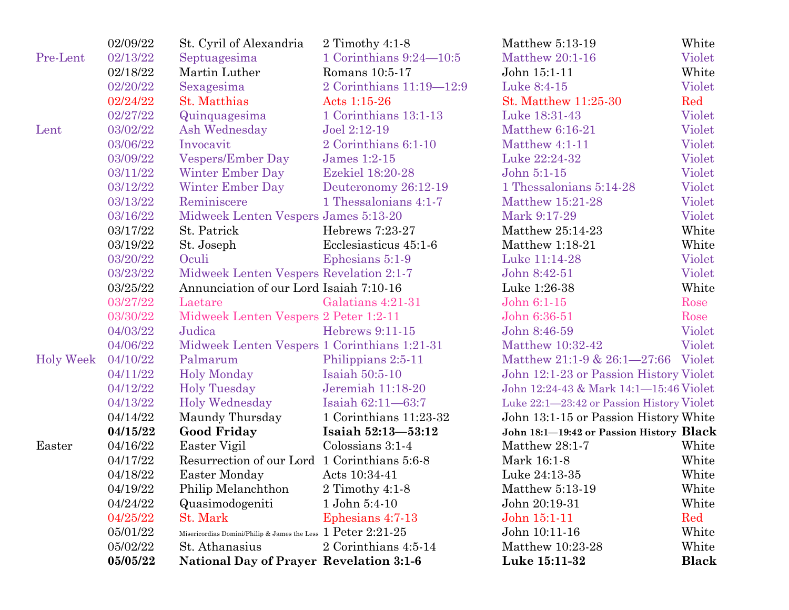|                  | 02/09/22 | St. Cyril of Alexandria                                                         | 2 Timothy $4:1-8$         | Matthew 5:13-19                           | White        |
|------------------|----------|---------------------------------------------------------------------------------|---------------------------|-------------------------------------------|--------------|
| Pre-Lent         | 02/13/22 | Septuagesima                                                                    | 1 Corinthians $9:24-10:5$ | Matthew 20:1-16                           | Violet       |
|                  | 02/18/22 | Martin Luther                                                                   | Romans 10:5-17            | John 15:1-11                              | White        |
|                  | 02/20/22 | Sexagesima                                                                      | 2 Corinthians 11:19-12:9  | Luke 8:4-15                               | Violet       |
|                  | 02/24/22 | <b>St. Matthias</b>                                                             | Acts 1:15-26              | St. Matthew 11:25-30                      | Red          |
|                  | 02/27/22 | Quinquagesima                                                                   | 1 Corinthians 13:1-13     | Luke 18:31-43                             | Violet       |
| Lent             | 03/02/22 | Ash Wednesday                                                                   | Joel 2:12-19              | <b>Matthew 6:16-21</b>                    | Violet       |
|                  | 03/06/22 | Invocavit                                                                       | 2 Corinthians 6:1-10      | Matthew 4:1-11                            | Violet       |
|                  | 03/09/22 | <b>Vespers/Ember Day</b>                                                        | James 1:2-15              | Luke 22:24-32                             | Violet       |
|                  | 03/11/22 | <b>Winter Ember Day</b>                                                         | Ezekiel 18:20-28          | John 5:1-15                               | Violet       |
|                  | 03/12/22 | Winter Ember Day                                                                | Deuteronomy 26:12-19      | 1 Thessalonians 5:14-28                   | Violet       |
|                  | 03/13/22 | Reminiscere                                                                     | 1 Thessalonians 4:1-7     | Matthew 15:21-28                          | Violet       |
|                  | 03/16/22 | Midweek Lenten Vespers James 5:13-20                                            |                           | Mark 9:17-29                              | Violet       |
|                  | 03/17/22 | St. Patrick                                                                     | Hebrews 7:23-27           | Matthew 25:14-23                          | White        |
|                  | 03/19/22 | St. Joseph                                                                      | Ecclesiasticus 45:1-6     | Matthew 1:18-21                           | White        |
|                  | 03/20/22 | Oculi                                                                           | Ephesians 5:1-9           | Luke 11:14-28                             | Violet       |
|                  | 03/23/22 | Midweek Lenten Vespers Revelation 2:1-7                                         |                           | John 8:42-51                              | Violet       |
|                  | 03/25/22 | Annunciation of our Lord Isaiah 7:10-16                                         |                           | Luke 1:26-38                              | White        |
|                  | 03/27/22 | Laetare                                                                         | Galatians 4:21-31         | John 6:1-15                               | Rose         |
|                  | 03/30/22 | Midweek Lenten Vespers 2 Peter 1:2-11                                           |                           | John 6:36-51                              | Rose         |
|                  | 04/03/22 | Judica                                                                          | Hebrews 9:11-15           | John 8:46-59                              | Violet       |
|                  | 04/06/22 | Midweek Lenten Vespers 1 Corinthians 1:21-31                                    |                           | Matthew 10:32-42                          | Violet       |
| <b>Holy Week</b> | 04/10/22 | Palmarum                                                                        | Philippians 2:5-11        | Matthew 21:1-9 & 26:1-27:66 Violet        |              |
|                  | 04/11/22 | <b>Holy Monday</b>                                                              | Isaiah 50:5-10            | John 12:1-23 or Passion History Violet    |              |
|                  | 04/12/22 | <b>Holy Tuesday</b>                                                             | Jeremiah 11:18-20         | John 12:24-43 & Mark 14:1-15:46 Violet    |              |
|                  | 04/13/22 | <b>Holy Wednesday</b>                                                           | Isaiah 62:11-63:7         | Luke 22:1-23:42 or Passion History Violet |              |
|                  | 04/14/22 | Maundy Thursday                                                                 | 1 Corinthians 11:23-32    | John 13:1-15 or Passion History White     |              |
|                  | 04/15/22 | <b>Good Friday</b>                                                              | Isaiah 52:13-53:12        | John 18:1-19:42 or Passion History Black  |              |
| Easter           | 04/16/22 | Easter Vigil                                                                    | Colossians 3:1-4          | Matthew 28:1-7                            | White        |
|                  | 04/17/22 | Resurrection of our Lord 1 Corinthians 5:6-8                                    |                           | Mark 16:1-8                               | White        |
|                  | 04/18/22 | Easter Monday                                                                   | Acts 10:34-41             | Luke 24:13-35                             | White        |
|                  | 04/19/22 | Philip Melanchthon                                                              | 2 Timothy $4:1-8$         | Matthew 5:13-19                           | White        |
|                  | 04/24/22 | Quasimodogeniti                                                                 | 1 John 5:4-10             | John 20:19-31                             | White        |
|                  | 04/25/22 | St. Mark                                                                        | Ephesians 4:7-13          | John 15:1-11                              | Red          |
|                  | 05/01/22 | Misericordias Domini/Philip & James the Less $~1~{\rm Peter}~2{:}21{\text -}25$ |                           | John 10:11-16                             | White        |
|                  | 05/02/22 | St. Athanasius                                                                  | 2 Corinthians 4:5-14      | Matthew 10:23-28                          | White        |
|                  | 05/05/22 | <b>National Day of Prayer Revelation 3:1-6</b>                                  |                           | Luke 15:11-32                             | <b>Black</b> |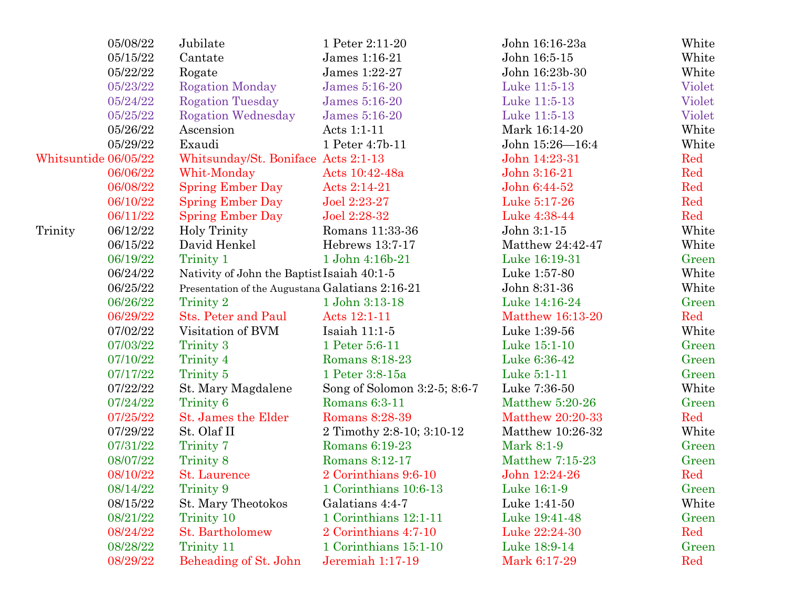|                      | 05/08/22 | Jubilate                                        | 1 Peter 2:11-20              | John 16:16-23a   | White  |
|----------------------|----------|-------------------------------------------------|------------------------------|------------------|--------|
|                      | 05/15/22 | Cantate                                         | James 1:16-21                | John 16:5-15     | White  |
|                      | 05/22/22 | Rogate                                          | James 1:22-27                | John 16:23b-30   | White  |
|                      | 05/23/22 | <b>Rogation Monday</b>                          | James 5:16-20                | Luke 11:5-13     | Violet |
|                      | 05/24/22 | <b>Rogation Tuesday</b>                         | James 5:16-20                | Luke 11:5-13     | Violet |
|                      | 05/25/22 | <b>Rogation Wednesday</b>                       | James 5:16-20                | Luke 11:5-13     | Violet |
|                      | 05/26/22 | Ascension                                       | Acts 1:1-11                  | Mark 16:14-20    | White  |
|                      | 05/29/22 | Exaudi                                          | 1 Peter 4:7b-11              | John 15:26-16:4  | White  |
| Whitsuntide 06/05/22 |          | Whitsunday/St. Boniface Acts 2:1-13             |                              | John 14:23-31    | Red    |
|                      | 06/06/22 | Whit-Monday                                     | Acts 10:42-48a               | John 3:16-21     | Red    |
|                      | 06/08/22 | <b>Spring Ember Day</b>                         | Acts 2:14-21                 | John 6:44-52     | Red    |
|                      | 06/10/22 | <b>Spring Ember Day</b>                         | Joel 2:23-27                 | Luke 5:17-26     | Red    |
|                      | 06/11/22 | <b>Spring Ember Day</b>                         | Joel 2:28-32                 | Luke 4:38-44     | Red    |
| Trinity              | 06/12/22 | Holy Trinity                                    | Romans 11:33-36              | John 3:1-15      | White  |
|                      | 06/15/22 | David Henkel                                    | Hebrews 13:7-17              | Matthew 24:42-47 | White  |
|                      | 06/19/22 | Trinity 1                                       | 1 John 4:16b-21              | Luke 16:19-31    | Green  |
|                      | 06/24/22 | Nativity of John the Baptist Isaiah 40:1-5      |                              | Luke 1:57-80     | White  |
|                      | 06/25/22 | Presentation of the Augustana Galatians 2:16-21 |                              | John 8:31-36     | White  |
|                      | 06/26/22 | Trinity 2                                       | 1 John 3:13-18               | Luke 14:16-24    | Green  |
|                      | 06/29/22 | Sts. Peter and Paul                             | Acts 12:1-11                 | Matthew 16:13-20 | Red    |
|                      | 07/02/22 | Visitation of BVM                               | Isaiah $11:1-5$              | Luke 1:39-56     | White  |
|                      | 07/03/22 | Trinity 3                                       | 1 Peter 5:6-11               | Luke 15:1-10     | Green  |
|                      | 07/10/22 | Trinity 4                                       | Romans 8:18-23               | Luke 6:36-42     | Green  |
|                      | 07/17/22 | Trinity 5                                       | 1 Peter 3:8-15a              | Luke 5:1-11      | Green  |
|                      | 07/22/22 | St. Mary Magdalene                              | Song of Solomon 3:2-5; 8:6-7 | Luke 7:36-50     | White  |
|                      | 07/24/22 | Trinity 6                                       | Romans 6:3-11                | Matthew 5:20-26  | Green  |
|                      | 07/25/22 | St. James the Elder                             | Romans 8:28-39               | Matthew 20:20-33 | Red    |
|                      | 07/29/22 | St. Olaf II                                     | 2 Timothy 2:8-10; 3:10-12    | Matthew 10:26-32 | White  |
|                      | 07/31/22 | Trinity 7                                       | Romans 6:19-23               | Mark 8:1-9       | Green  |
|                      | 08/07/22 | Trinity 8                                       | Romans 8:12-17               | Matthew 7:15-23  | Green  |
|                      | 08/10/22 | St. Laurence                                    | 2 Corinthians 9:6-10         | John 12:24-26    | Red    |
|                      | 08/14/22 | Trinity 9                                       | 1 Corinthians 10:6-13        | Luke 16:1-9      | Green  |
|                      | 08/15/22 | St. Mary Theotokos                              | Galatians 4:4-7              | Luke 1:41-50     | White  |
|                      | 08/21/22 | Trinity 10                                      | 1 Corinthians 12:1-11        | Luke 19:41-48    | Green  |
|                      | 08/24/22 | St. Bartholomew                                 | 2 Corinthians 4:7-10         | Luke 22:24-30    | Red    |
|                      | 08/28/22 | Trinity 11                                      | 1 Corinthians 15:1-10        | Luke 18:9-14     | Green  |
|                      | 08/29/22 | Beheading of St. John                           | Jeremiah 1:17-19             | Mark 6:17-29     | Red    |
|                      |          |                                                 |                              |                  |        |